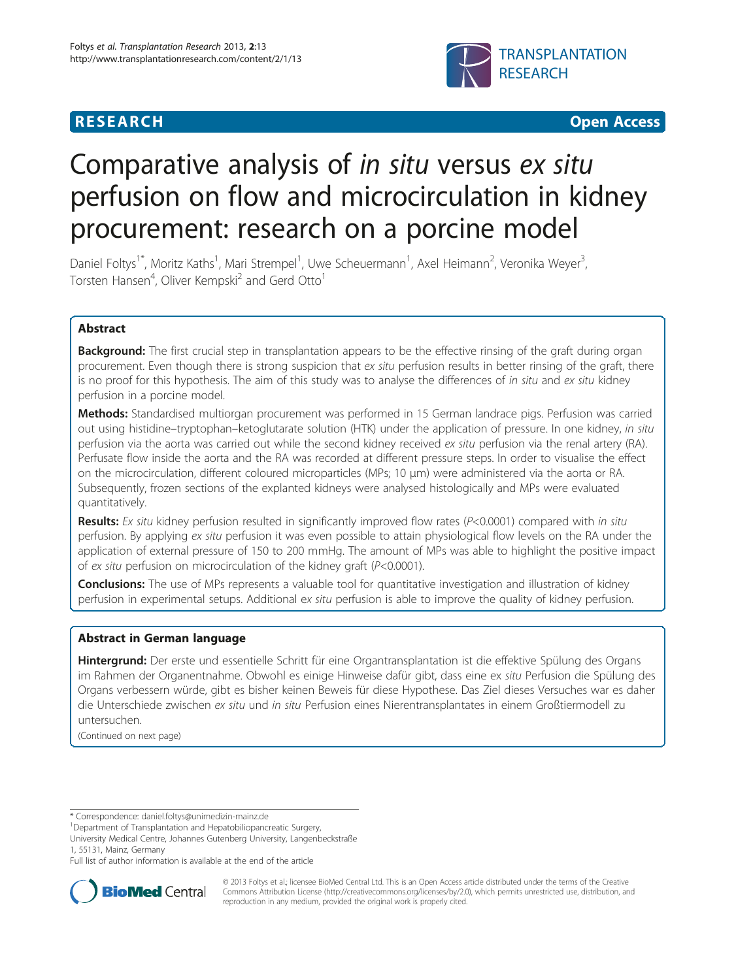# **RESEARCH CHEAR CHEAR CHEAR CHEAR CHEAR CHEAR CHEAR CHEAR CHEAR CHEAR CHEAR CHEAR CHEAR CHEAR CHEAR CHEAR CHEAR**



# Comparative analysis of in situ versus ex situ perfusion on flow and microcirculation in kidney procurement: research on a porcine model

Daniel Foltys<sup>1\*</sup>, Moritz Kaths<sup>1</sup>, Mari Strempel<sup>1</sup>, Uwe Scheuermann<sup>1</sup>, Axel Heimann<sup>2</sup>, Veronika Weyer<sup>3</sup> , Torsten Hansen<sup>4</sup>, Oliver Kempski<sup>2</sup> and Gerd Otto<sup>1</sup>

# Abstract

**Background:** The first crucial step in transplantation appears to be the effective rinsing of the graft during organ procurement. Even though there is strong suspicion that ex situ perfusion results in better rinsing of the graft, there is no proof for this hypothesis. The aim of this study was to analyse the differences of in situ and ex situ kidney perfusion in a porcine model.

Methods: Standardised multiorgan procurement was performed in 15 German landrace pigs. Perfusion was carried out using histidine–tryptophan–ketoglutarate solution (HTK) under the application of pressure. In one kidney, in situ perfusion via the aorta was carried out while the second kidney received ex situ perfusion via the renal artery (RA). Perfusate flow inside the aorta and the RA was recorded at different pressure steps. In order to visualise the effect on the microcirculation, different coloured microparticles (MPs; 10 μm) were administered via the aorta or RA. Subsequently, frozen sections of the explanted kidneys were analysed histologically and MPs were evaluated quantitatively.

Results: Ex situ kidney perfusion resulted in significantly improved flow rates ( $P<0.0001$ ) compared with in situ perfusion. By applying ex situ perfusion it was even possible to attain physiological flow levels on the RA under the application of external pressure of 150 to 200 mmHg. The amount of MPs was able to highlight the positive impact of ex situ perfusion on microcirculation of the kidney graft (P<0.0001).

Conclusions: The use of MPs represents a valuable tool for quantitative investigation and illustration of kidney perfusion in experimental setups. Additional ex situ perfusion is able to improve the quality of kidney perfusion.

# Abstract in German language

Hintergrund: Der erste und essentielle Schritt für eine Organtransplantation ist die effektive Spülung des Organs im Rahmen der Organentnahme. Obwohl es einige Hinweise dafür gibt, dass eine ex situ Perfusion die Spülung des Organs verbessern würde, gibt es bisher keinen Beweis für diese Hypothese. Das Ziel dieses Versuches war es daher die Unterschiede zwischen ex situ und in situ Perfusion eines Nierentransplantates in einem Großtiermodell zu untersuchen.

(Continued on next page)

University Medical Centre, Johannes Gutenberg University, Langenbeckstraße 1, 55131, Mainz, Germany

Full list of author information is available at the end of the article



© 2013 Foltys et al.; licensee BioMed Central Ltd. This is an Open Access article distributed under the terms of the Creative Commons Attribution License [\(http://creativecommons.org/licenses/by/2.0\)](http://creativecommons.org/licenses/by/2.0), which permits unrestricted use, distribution, and reproduction in any medium, provided the original work is properly cited.

<sup>\*</sup> Correspondence: [daniel.foltys@unimedizin-mainz.de](mailto:daniel.foltys@unimedizin-mainz.de) <sup>1</sup>

Department of Transplantation and Hepatobiliopancreatic Surgery,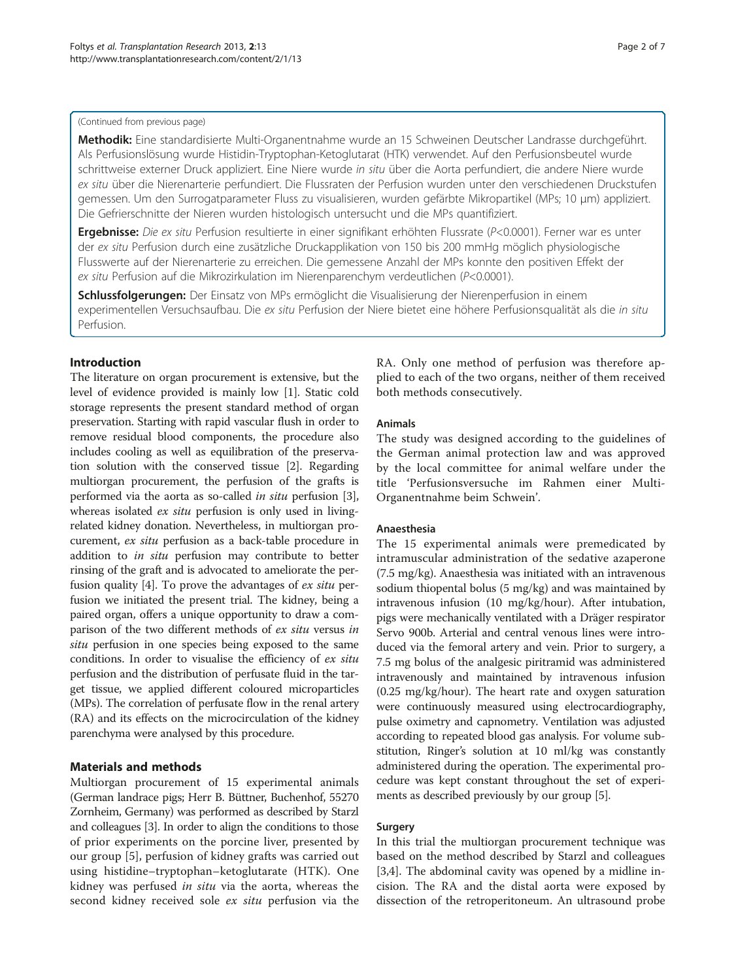#### (Continued from previous page)

Methodik: Eine standardisierte Multi-Organentnahme wurde an 15 Schweinen Deutscher Landrasse durchgeführt. Als Perfusionslösung wurde Histidin-Tryptophan-Ketoglutarat (HTK) verwendet. Auf den Perfusionsbeutel wurde schrittweise externer Druck appliziert. Eine Niere wurde in situ über die Aorta perfundiert, die andere Niere wurde ex situ über die Nierenarterie perfundiert. Die Flussraten der Perfusion wurden unter den verschiedenen Druckstufen gemessen. Um den Surrogatparameter Fluss zu visualisieren, wurden gefärbte Mikropartikel (MPs; 10 μm) appliziert. Die Gefrierschnitte der Nieren wurden histologisch untersucht und die MPs quantifiziert.

Ergebnisse: Die ex situ Perfusion resultierte in einer signifikant erhöhten Flussrate (P<0.0001). Ferner war es unter der ex situ Perfusion durch eine zusätzliche Druckapplikation von 150 bis 200 mmHg möglich physiologische Flusswerte auf der Nierenarterie zu erreichen. Die gemessene Anzahl der MPs konnte den positiven Effekt der ex situ Perfusion auf die Mikrozirkulation im Nierenparenchym verdeutlichen (P<0.0001).

Schlussfolgerungen: Der Einsatz von MPs ermöglicht die Visualisierung der Nierenperfusion in einem experimentellen Versuchsaufbau. Die ex situ Perfusion der Niere bietet eine höhere Perfusionsqualität als die in situ Perfusion.

# Introduction

The literature on organ procurement is extensive, but the level of evidence provided is mainly low [[1\]](#page-6-0). Static cold storage represents the present standard method of organ preservation. Starting with rapid vascular flush in order to remove residual blood components, the procedure also includes cooling as well as equilibration of the preservation solution with the conserved tissue [[2](#page-6-0)]. Regarding multiorgan procurement, the perfusion of the grafts is performed via the aorta as so-called in situ perfusion [[3](#page-6-0)], whereas isolated *ex situ* perfusion is only used in livingrelated kidney donation. Nevertheless, in multiorgan procurement, ex situ perfusion as a back-table procedure in addition to in situ perfusion may contribute to better rinsing of the graft and is advocated to ameliorate the per-fusion quality [[4](#page-6-0)]. To prove the advantages of  $ex$  situ perfusion we initiated the present trial. The kidney, being a paired organ, offers a unique opportunity to draw a comparison of the two different methods of ex situ versus in situ perfusion in one species being exposed to the same conditions. In order to visualise the efficiency of ex situ perfusion and the distribution of perfusate fluid in the target tissue, we applied different coloured microparticles (MPs). The correlation of perfusate flow in the renal artery (RA) and its effects on the microcirculation of the kidney parenchyma were analysed by this procedure.

# Materials and methods

Multiorgan procurement of 15 experimental animals (German landrace pigs; Herr B. Büttner, Buchenhof, 55270 Zornheim, Germany) was performed as described by Starzl and colleagues [[3\]](#page-6-0). In order to align the conditions to those of prior experiments on the porcine liver, presented by our group [\[5](#page-6-0)], perfusion of kidney grafts was carried out using histidine–tryptophan–ketoglutarate (HTK). One kidney was perfused in situ via the aorta, whereas the second kidney received sole ex situ perfusion via the

RA. Only one method of perfusion was therefore applied to each of the two organs, neither of them received both methods consecutively.

#### Animals

The study was designed according to the guidelines of the German animal protection law and was approved by the local committee for animal welfare under the title 'Perfusionsversuche im Rahmen einer Multi-Organentnahme beim Schwein'.

## Anaesthesia

The 15 experimental animals were premedicated by intramuscular administration of the sedative azaperone (7.5 mg/kg). Anaesthesia was initiated with an intravenous sodium thiopental bolus (5 mg/kg) and was maintained by intravenous infusion (10 mg/kg/hour). After intubation, pigs were mechanically ventilated with a Dräger respirator Servo 900b. Arterial and central venous lines were introduced via the femoral artery and vein. Prior to surgery, a 7.5 mg bolus of the analgesic piritramid was administered intravenously and maintained by intravenous infusion (0.25 mg/kg/hour). The heart rate and oxygen saturation were continuously measured using electrocardiography, pulse oximetry and capnometry. Ventilation was adjusted according to repeated blood gas analysis. For volume substitution, Ringer's solution at 10 ml/kg was constantly administered during the operation. The experimental procedure was kept constant throughout the set of experiments as described previously by our group [\[5](#page-6-0)].

#### Surgery

In this trial the multiorgan procurement technique was based on the method described by Starzl and colleagues [[3,4\]](#page-6-0). The abdominal cavity was opened by a midline incision. The RA and the distal aorta were exposed by dissection of the retroperitoneum. An ultrasound probe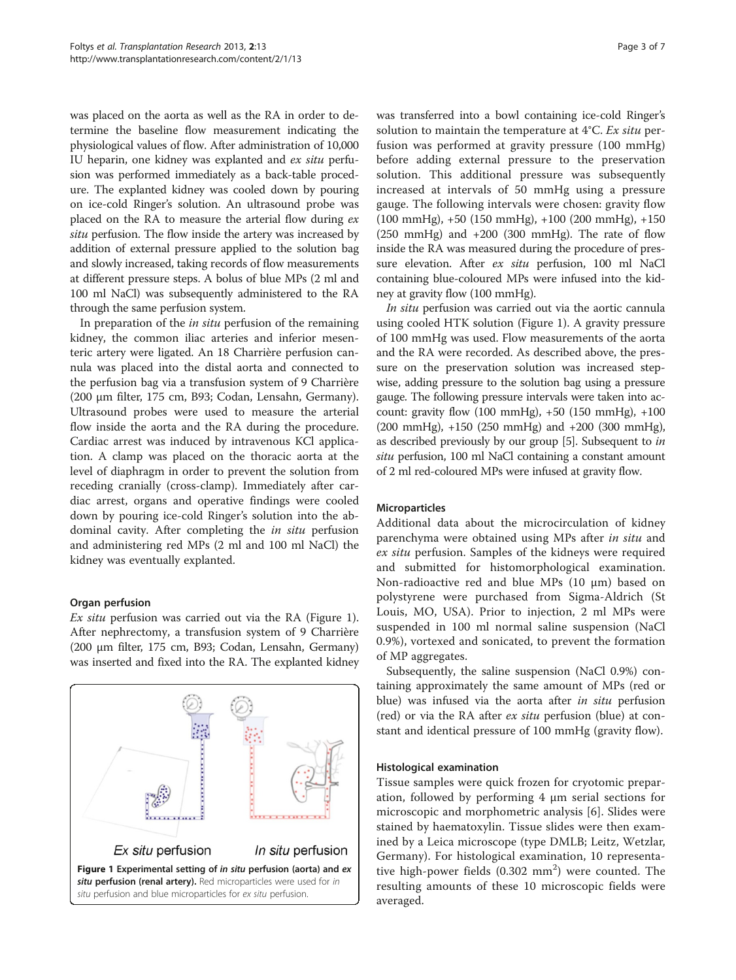was placed on the aorta as well as the RA in order to determine the baseline flow measurement indicating the physiological values of flow. After administration of 10,000 IU heparin, one kidney was explanted and ex situ perfusion was performed immediately as a back-table procedure. The explanted kidney was cooled down by pouring on ice-cold Ringer's solution. An ultrasound probe was placed on the RA to measure the arterial flow during ex situ perfusion. The flow inside the artery was increased by addition of external pressure applied to the solution bag and slowly increased, taking records of flow measurements at different pressure steps. A bolus of blue MPs (2 ml and 100 ml NaCl) was subsequently administered to the RA through the same perfusion system.

In preparation of the *in situ* perfusion of the remaining kidney, the common iliac arteries and inferior mesenteric artery were ligated. An 18 Charrière perfusion cannula was placed into the distal aorta and connected to the perfusion bag via a transfusion system of 9 Charrière (200 μm filter, 175 cm, B93; Codan, Lensahn, Germany). Ultrasound probes were used to measure the arterial flow inside the aorta and the RA during the procedure. Cardiac arrest was induced by intravenous KCl application. A clamp was placed on the thoracic aorta at the level of diaphragm in order to prevent the solution from receding cranially (cross-clamp). Immediately after cardiac arrest, organs and operative findings were cooled down by pouring ice-cold Ringer's solution into the abdominal cavity. After completing the in situ perfusion and administering red MPs (2 ml and 100 ml NaCl) the kidney was eventually explanted.

# Organ perfusion

Ex situ perfusion was carried out via the RA (Figure 1). After nephrectomy, a transfusion system of 9 Charrière (200 μm filter, 175 cm, B93; Codan, Lensahn, Germany) was inserted and fixed into the RA. The explanted kidney



was transferred into a bowl containing ice-cold Ringer's solution to maintain the temperature at 4°C. Ex situ perfusion was performed at gravity pressure (100 mmHg) before adding external pressure to the preservation solution. This additional pressure was subsequently increased at intervals of 50 mmHg using a pressure gauge. The following intervals were chosen: gravity flow (100 mmHg), +50 (150 mmHg), +100 (200 mmHg), +150  $(250 \text{ mmHg})$  and  $+200 \text{ (300 mmHg)}$ . The rate of flow inside the RA was measured during the procedure of pressure elevation. After ex situ perfusion, 100 ml NaCl containing blue-coloured MPs were infused into the kidney at gravity flow (100 mmHg).

In situ perfusion was carried out via the aortic cannula using cooled HTK solution (Figure 1). A gravity pressure of 100 mmHg was used. Flow measurements of the aorta and the RA were recorded. As described above, the pressure on the preservation solution was increased stepwise, adding pressure to the solution bag using a pressure gauge. The following pressure intervals were taken into account: gravity flow (100 mmHg), +50 (150 mmHg), +100 (200 mmHg), +150 (250 mmHg) and +200 (300 mmHg), as described previously by our group [\[5\]](#page-6-0). Subsequent to in situ perfusion, 100 ml NaCl containing a constant amount of 2 ml red-coloured MPs were infused at gravity flow.

# Microparticles

Additional data about the microcirculation of kidney parenchyma were obtained using MPs after in situ and ex situ perfusion. Samples of the kidneys were required and submitted for histomorphological examination. Non-radioactive red and blue MPs (10 μm) based on polystyrene were purchased from Sigma-Aldrich (St Louis, MO, USA). Prior to injection, 2 ml MPs were suspended in 100 ml normal saline suspension (NaCl 0.9%), vortexed and sonicated, to prevent the formation of MP aggregates.

Subsequently, the saline suspension (NaCl 0.9%) containing approximately the same amount of MPs (red or blue) was infused via the aorta after in situ perfusion (red) or via the RA after ex situ perfusion (blue) at constant and identical pressure of 100 mmHg (gravity flow).

#### Histological examination

Tissue samples were quick frozen for cryotomic preparation, followed by performing 4 μm serial sections for microscopic and morphometric analysis [\[6](#page-6-0)]. Slides were stained by haematoxylin. Tissue slides were then examined by a Leica microscope (type DMLB; Leitz, Wetzlar, Germany). For histological examination, 10 representative high-power fields (0.302 mm<sup>2</sup>) were counted. The resulting amounts of these 10 microscopic fields were averaged.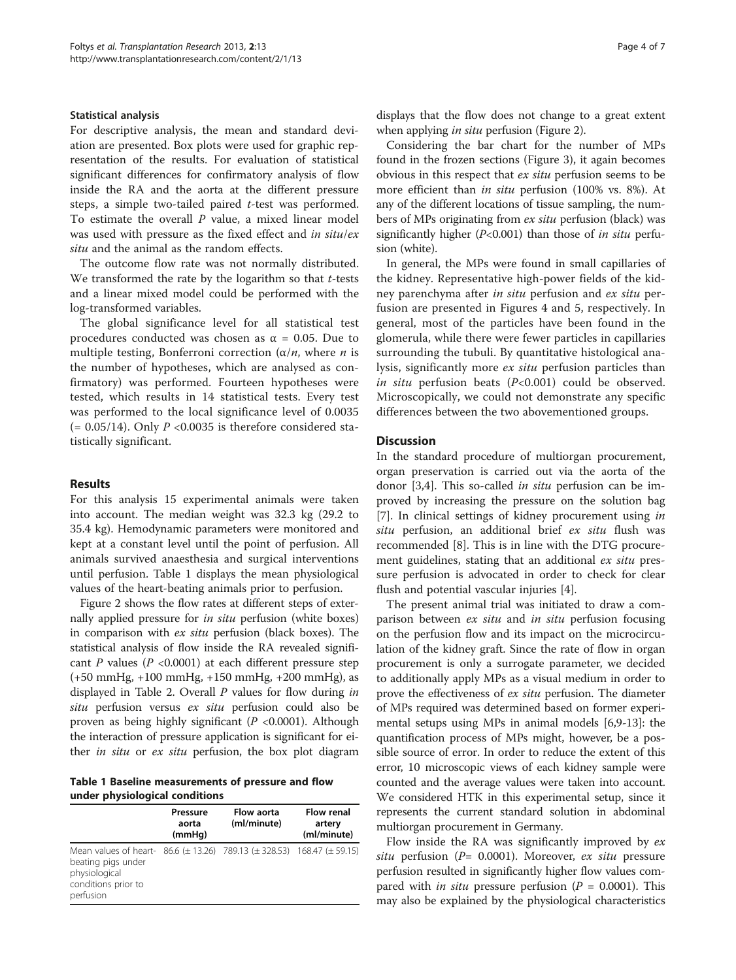#### Statistical analysis

For descriptive analysis, the mean and standard deviation are presented. Box plots were used for graphic representation of the results. For evaluation of statistical significant differences for confirmatory analysis of flow inside the RA and the aorta at the different pressure steps, a simple two-tailed paired t-test was performed. To estimate the overall  $P$  value, a mixed linear model was used with pressure as the fixed effect and in situ/ex situ and the animal as the random effects.

The outcome flow rate was not normally distributed. We transformed the rate by the logarithm so that  $t$ -tests and a linear mixed model could be performed with the log-transformed variables.

The global significance level for all statistical test procedures conducted was chosen as  $\alpha$  = 0.05. Due to multiple testing, Bonferroni correction  $(\alpha/n)$ , where *n* is the number of hypotheses, which are analysed as confirmatory) was performed. Fourteen hypotheses were tested, which results in 14 statistical tests. Every test was performed to the local significance level of 0.0035  $(= 0.05/14)$ . Only P <0.0035 is therefore considered statistically significant.

#### Results

For this analysis 15 experimental animals were taken into account. The median weight was 32.3 kg (29.2 to 35.4 kg). Hemodynamic parameters were monitored and kept at a constant level until the point of perfusion. All animals survived anaesthesia and surgical interventions until perfusion. Table 1 displays the mean physiological values of the heart-beating animals prior to perfusion.

Figure [2](#page-4-0) shows the flow rates at different steps of externally applied pressure for in situ perfusion (white boxes) in comparison with ex situ perfusion (black boxes). The statistical analysis of flow inside the RA revealed significant P values ( $P < 0.0001$ ) at each different pressure step (+50 mmHg, +100 mmHg, +150 mmHg, +200 mmHg), as displayed in Table [2](#page-4-0). Overall P values for flow during in situ perfusion versus ex situ perfusion could also be proven as being highly significant ( $P < 0.0001$ ). Although the interaction of pressure application is significant for either in situ or ex situ perfusion, the box plot diagram

Table 1 Baseline measurements of pressure and flow under physiological conditions

|                                                                                                                                                                   | Pressure<br>aorta<br>(mmHq) | Flow aorta<br>(ml/minute) | Flow renal<br>artery<br>(ml/minute) |
|-------------------------------------------------------------------------------------------------------------------------------------------------------------------|-----------------------------|---------------------------|-------------------------------------|
| Mean values of heart- 86.6 ( $\pm$ 13.26) 789.13 ( $\pm$ 328.53) 168.47 ( $\pm$ 59.15)<br>beating pigs under<br>physiological<br>conditions prior to<br>perfusion |                             |                           |                                     |

displays that the flow does not change to a great extent when applying *in situ* perfusion (Figure [2](#page-4-0)).

Considering the bar chart for the number of MPs found in the frozen sections (Figure [3\)](#page-5-0), it again becomes obvious in this respect that ex situ perfusion seems to be more efficient than *in situ* perfusion (100% vs. 8%). At any of the different locations of tissue sampling, the numbers of MPs originating from ex situ perfusion (black) was significantly higher  $(P<0.001)$  than those of *in situ* perfusion (white).

In general, the MPs were found in small capillaries of the kidney. Representative high-power fields of the kidney parenchyma after in situ perfusion and ex situ perfusion are presented in Figures [4](#page-5-0) and [5](#page-5-0), respectively. In general, most of the particles have been found in the glomerula, while there were fewer particles in capillaries surrounding the tubuli. By quantitative histological analysis, significantly more ex situ perfusion particles than in situ perfusion beats  $(P<0.001)$  could be observed. Microscopically, we could not demonstrate any specific differences between the two abovementioned groups.

## Discussion

In the standard procedure of multiorgan procurement, organ preservation is carried out via the aorta of the donor [\[3,4](#page-6-0)]. This so-called in situ perfusion can be improved by increasing the pressure on the solution bag [[7\]](#page-6-0). In clinical settings of kidney procurement using in situ perfusion, an additional brief ex situ flush was recommended [[8\]](#page-6-0). This is in line with the DTG procurement guidelines, stating that an additional ex situ pressure perfusion is advocated in order to check for clear flush and potential vascular injuries [[4\]](#page-6-0).

The present animal trial was initiated to draw a comparison between ex situ and in situ perfusion focusing on the perfusion flow and its impact on the microcirculation of the kidney graft. Since the rate of flow in organ procurement is only a surrogate parameter, we decided to additionally apply MPs as a visual medium in order to prove the effectiveness of ex situ perfusion. The diameter of MPs required was determined based on former experimental setups using MPs in animal models [[6,9-13\]](#page-6-0): the quantification process of MPs might, however, be a possible source of error. In order to reduce the extent of this error, 10 microscopic views of each kidney sample were counted and the average values were taken into account. We considered HTK in this experimental setup, since it represents the current standard solution in abdominal multiorgan procurement in Germany.

Flow inside the RA was significantly improved by ex situ perfusion ( $P= 0.0001$ ). Moreover, ex situ pressure perfusion resulted in significantly higher flow values compared with *in situ* pressure perfusion ( $P = 0.0001$ ). This may also be explained by the physiological characteristics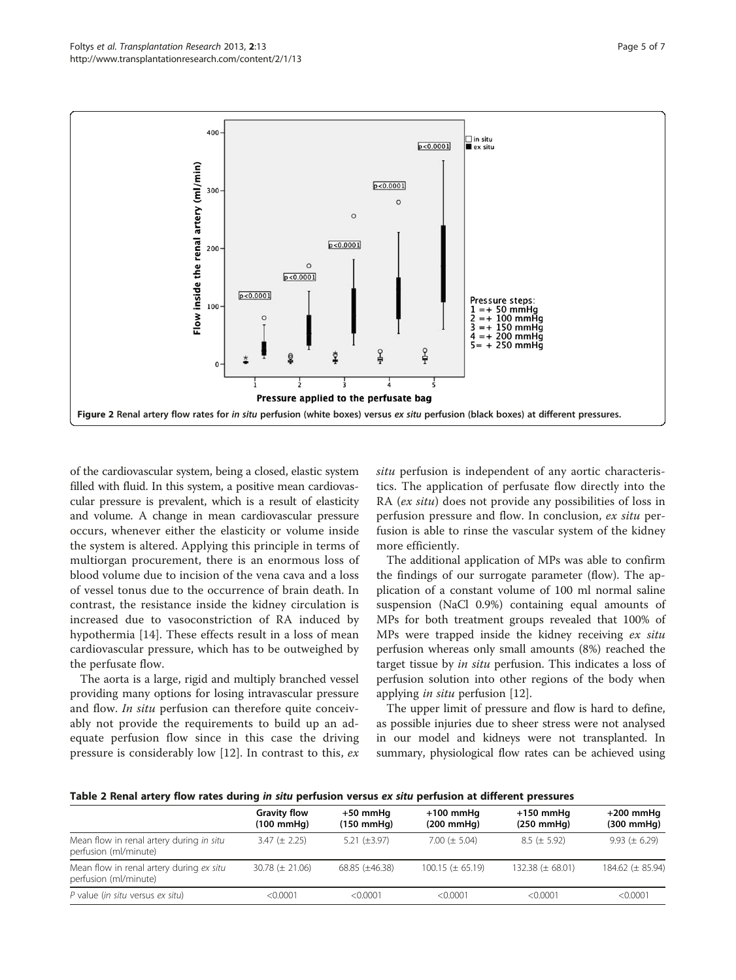<span id="page-4-0"></span>

of the cardiovascular system, being a closed, elastic system filled with fluid. In this system, a positive mean cardiovascular pressure is prevalent, which is a result of elasticity and volume. A change in mean cardiovascular pressure occurs, whenever either the elasticity or volume inside the system is altered. Applying this principle in terms of multiorgan procurement, there is an enormous loss of blood volume due to incision of the vena cava and a loss of vessel tonus due to the occurrence of brain death. In contrast, the resistance inside the kidney circulation is increased due to vasoconstriction of RA induced by hypothermia [[14\]](#page-6-0). These effects result in a loss of mean cardiovascular pressure, which has to be outweighed by the perfusate flow.

The aorta is a large, rigid and multiply branched vessel providing many options for losing intravascular pressure and flow. In situ perfusion can therefore quite conceivably not provide the requirements to build up an adequate perfusion flow since in this case the driving pressure is considerably low [[12](#page-6-0)]. In contrast to this, ex situ perfusion is independent of any aortic characteristics. The application of perfusate flow directly into the RA (ex situ) does not provide any possibilities of loss in perfusion pressure and flow. In conclusion, ex situ perfusion is able to rinse the vascular system of the kidney more efficiently.

The additional application of MPs was able to confirm the findings of our surrogate parameter (flow). The application of a constant volume of 100 ml normal saline suspension (NaCl 0.9%) containing equal amounts of MPs for both treatment groups revealed that 100% of MPs were trapped inside the kidney receiving ex situ perfusion whereas only small amounts (8%) reached the target tissue by in situ perfusion. This indicates a loss of perfusion solution into other regions of the body when applying in situ perfusion [[12](#page-6-0)].

The upper limit of pressure and flow is hard to define, as possible injuries due to sheer stress were not analysed in our model and kidneys were not transplanted. In summary, physiological flow rates can be achieved using

| Table 2 Renal artery flow rates during in situ perfusion versus ex situ perfusion at different pressures |  |
|----------------------------------------------------------------------------------------------------------|--|
|----------------------------------------------------------------------------------------------------------|--|

|                                                                   | <b>Gravity flow</b><br>$(100 \text{ mmHg})$ | $+50$ mmHq<br>$(150 \text{ mmHg})$ | $+100$ mmHq<br>$(200 \text{ mmHg})$ | $+150$ mmHq<br>$(250 \text{ mm})$ | $+200$ mmHq<br>$(300 \text{ mmHg})$ |  |
|-------------------------------------------------------------------|---------------------------------------------|------------------------------------|-------------------------------------|-----------------------------------|-------------------------------------|--|
| Mean flow in renal artery during in situ<br>perfusion (ml/minute) | $3.47 (\pm 2.25)$                           | 5.21 $(\pm 3.97)$                  | 7.00 ( $\pm$ 5.04)                  | $8.5 (\pm 5.92)$                  | 9.93 ( $\pm$ 6.29)                  |  |
| Mean flow in renal artery during ex situ<br>perfusion (ml/minute) | $30.78 \ (\pm 21.06)$                       | $68.85 (\pm 46.38)$                | $100.15 \ (\pm 65.19)$              | 132.38 ( $\pm$ 68.01)             | 184.62 (± 85.94)                    |  |
| P value (in situ versus ex situ)                                  | < 0.0001                                    | < 0.0001                           | < 0.0001                            | < 0.0001                          | < 0.0001                            |  |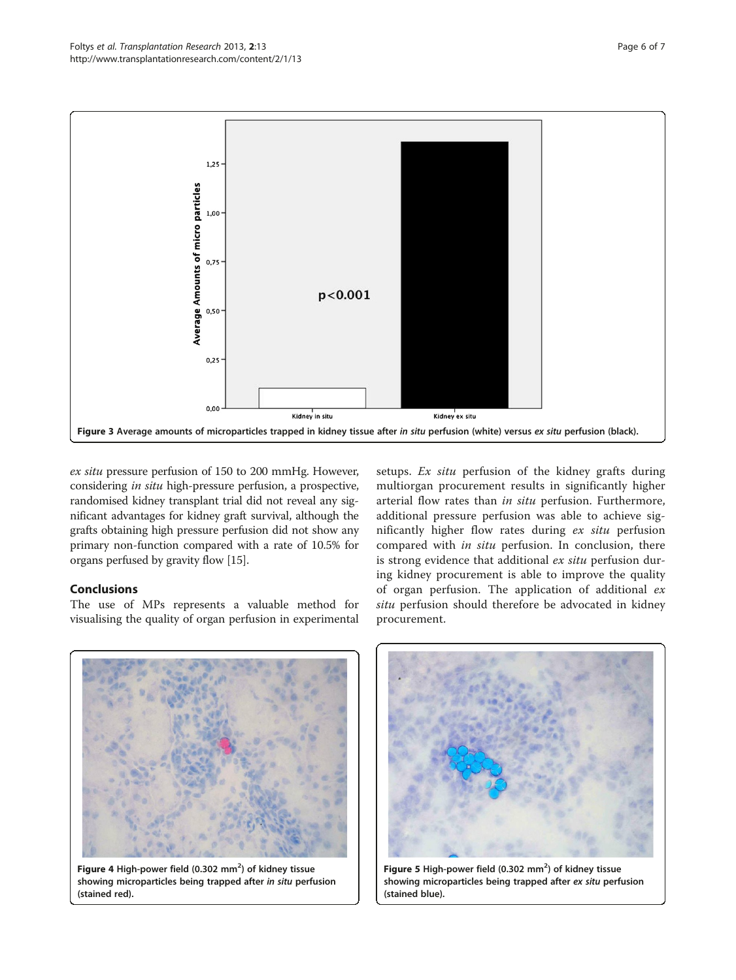<span id="page-5-0"></span>

ex situ pressure perfusion of 150 to 200 mmHg. However, considering in situ high-pressure perfusion, a prospective, randomised kidney transplant trial did not reveal any significant advantages for kidney graft survival, although the grafts obtaining high pressure perfusion did not show any primary non-function compared with a rate of 10.5% for organs perfused by gravity flow [[15](#page-6-0)].

# Conclusions

The use of MPs represents a valuable method for visualising the quality of organ perfusion in experimental setups. Ex situ perfusion of the kidney grafts during multiorgan procurement results in significantly higher arterial flow rates than in situ perfusion. Furthermore, additional pressure perfusion was able to achieve significantly higher flow rates during ex situ perfusion compared with in situ perfusion. In conclusion, there is strong evidence that additional ex situ perfusion during kidney procurement is able to improve the quality of organ perfusion. The application of additional ex situ perfusion should therefore be advocated in kidney procurement.



Figure 4 High-power field (0.302  $mm^2$ ) of kidney tissue showing microparticles being trapped after in situ perfusion (stained red).



Figure 5 High-power field  $(0.302 \text{ mm}^2)$  of kidney tissue showing microparticles being trapped after ex situ perfusion (stained blue).